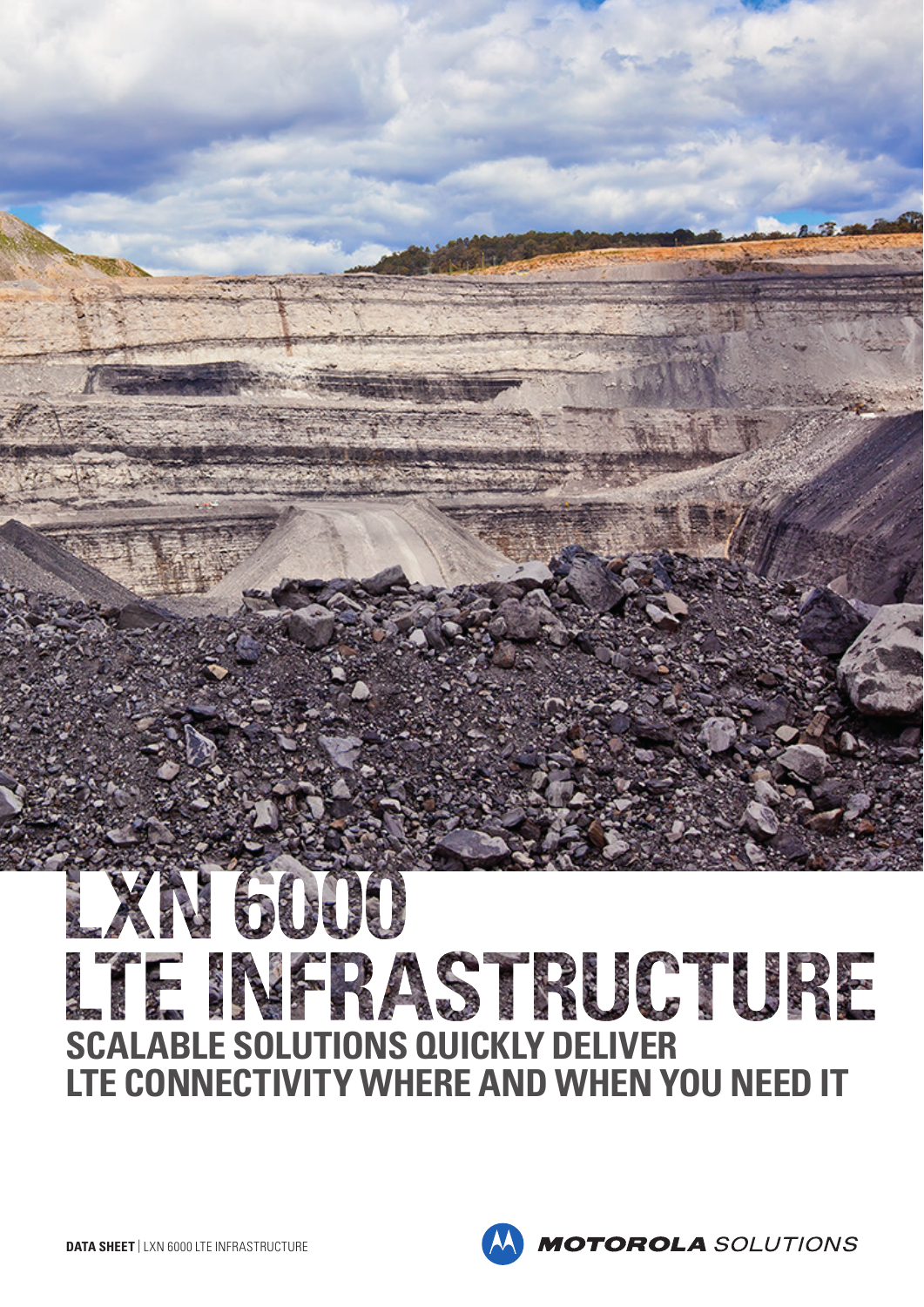# EXN 6000 ITE NEPASTRUCTURE **SCALABLE SOLUTIONS QUICKLY DELIVER LTE CONNECTIVITY WHERE AND WHEN YOU NEED IT**

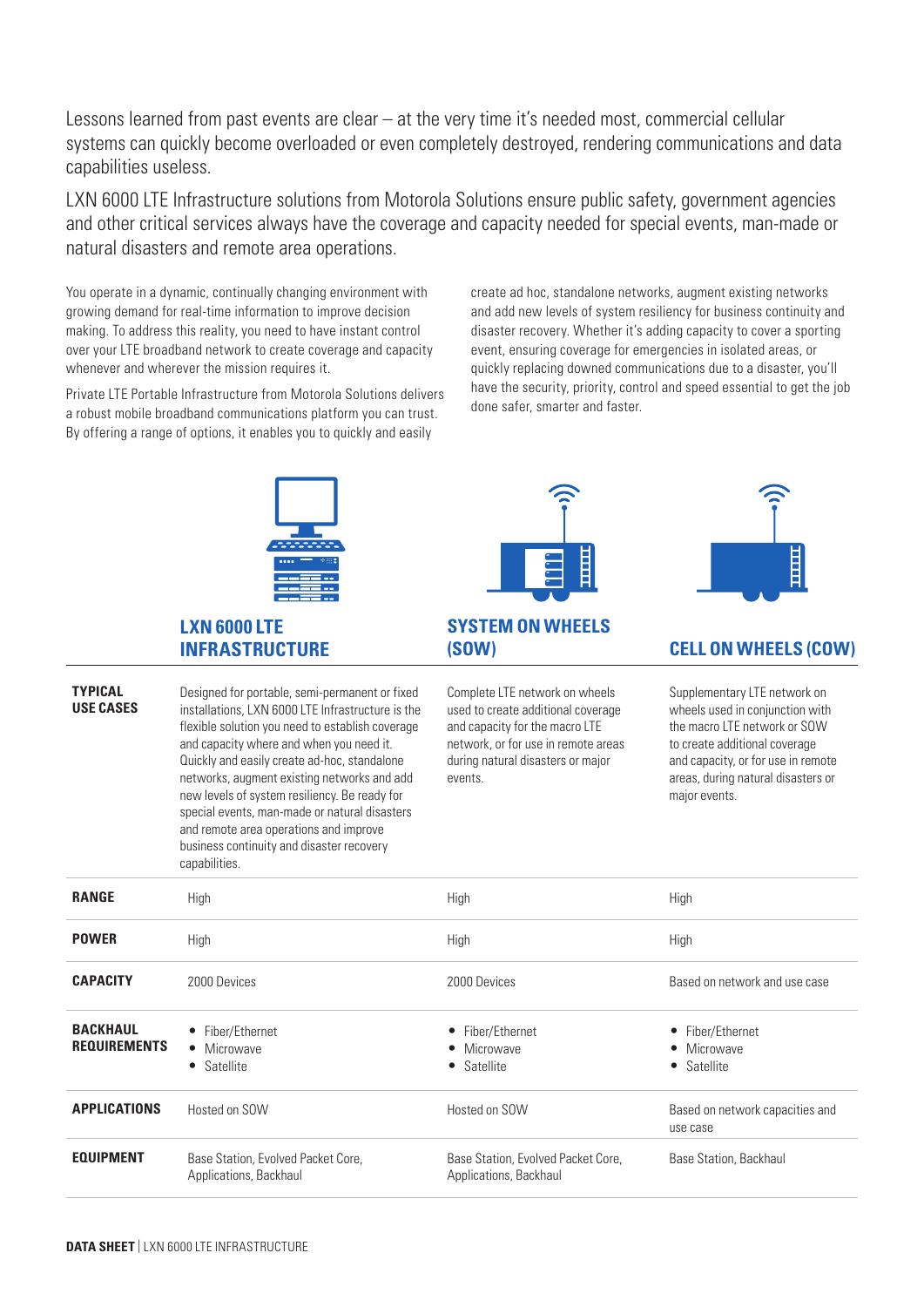Lessons learned from past events are clear – at the very time it's needed most, commercial cellular systems can quickly become overloaded or even completely destroyed, rendering communications and data capabilities useless.

LXN 6000 LTE Infrastructure solutions from Motorola Solutions ensure public safety, government agencies and other critical services always have the coverage and capacity needed for special events, man-made or natural disasters and remote area operations.

You operate in a dynamic, continually changing environment with growing demand for real-time information to improve decision making. To address this reality, you need to have instant control over your LTE broadband network to create coverage and capacity whenever and wherever the mission requires it.

Private LTE Portable Infrastructure from Motorola Solutions delivers a robust mobile broadband communications platform you can trust. By offering a range of options, it enables you to quickly and easily

create ad hoc, standalone networks, augment existing networks and add new levels of system resiliency for business continuity and disaster recovery. Whether it's adding capacity to cover a sporting event, ensuring coverage for emergencies in isolated areas, or quickly replacing downed communications due to a disaster, you'll have the security, priority, control and speed essential to get the job done safer, smarter and faster.

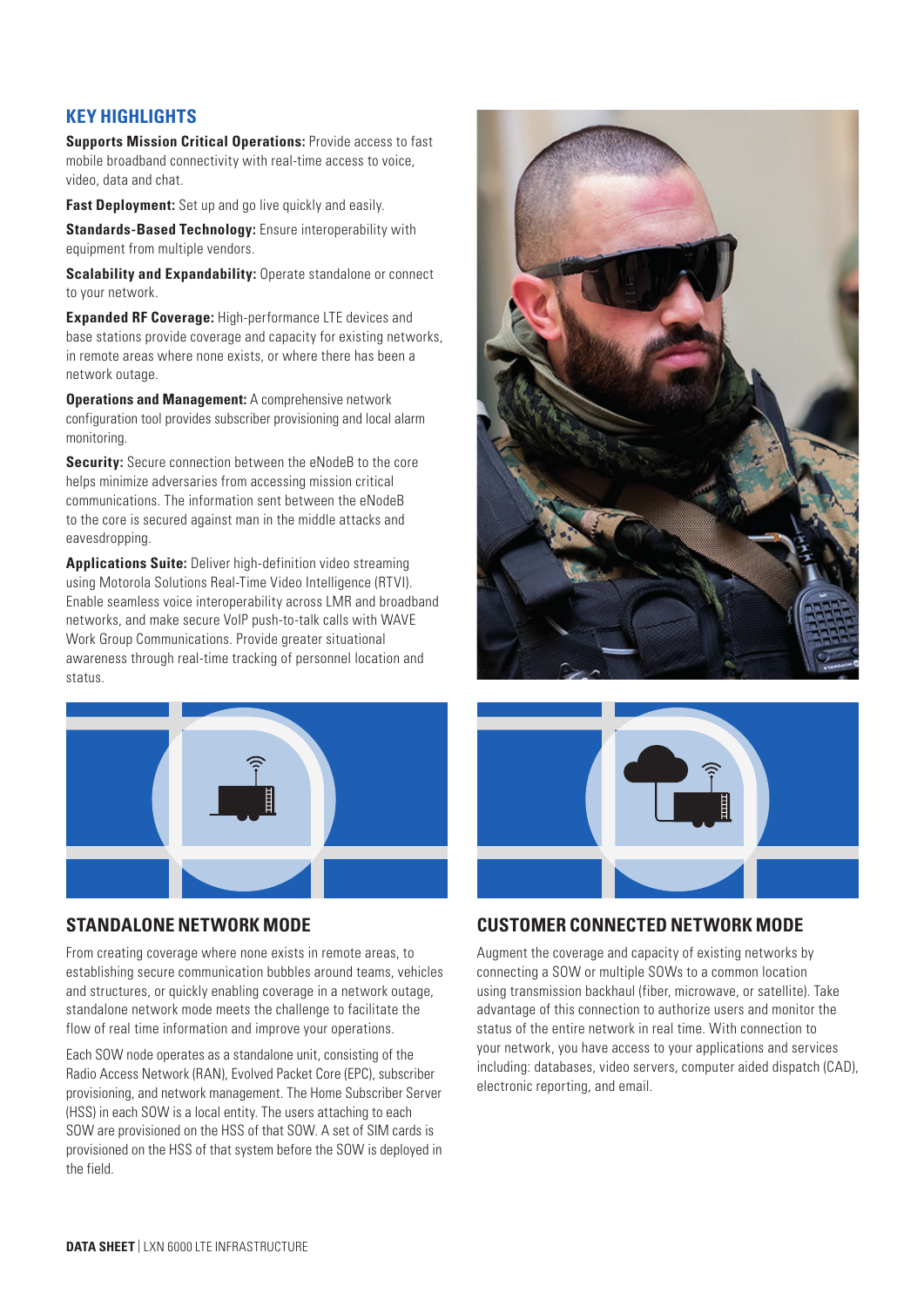# **KEY HIGHLIGHTS**

**Supports Mission Critical Operations:** Provide access to fast mobile broadband connectivity with real-time access to voice, video, data and chat.

**Fast Deployment:** Set up and go live quickly and easily.

**Standards-Based Technology:** Ensure interoperability with equipment from multiple vendors.

**Scalability and Expandability:** Operate standalone or connect to your network.

**Expanded RF Coverage:** High-performance LTE devices and base stations provide coverage and capacity for existing networks, in remote areas where none exists, or where there has been a network outage.

**Operations and Management:** A comprehensive network configuration tool provides subscriber provisioning and local alarm monitoring.

**Security:** Secure connection between the eNodeB to the core helps minimize adversaries from accessing mission critical communications. The information sent between the eNodeB to the core is secured against man in the middle attacks and eavesdropping.

**Applications Suite:** Deliver high-definition video streaming using Motorola Solutions Real-Time Video Intelligence (RTVI). Enable seamless voice interoperability across LMR and broadband networks, and make secure VoIP push-to-talk calls with WAVE Work Group Communications. Provide greater situational awareness through real-time tracking of personnel location and status.



# **STANDALONE NETWORK MODE**

From creating coverage where none exists in remote areas, to establishing secure communication bubbles around teams, vehicles and structures, or quickly enabling coverage in a network outage, standalone network mode meets the challenge to facilitate the flow of real time information and improve your operations.

Each SOW node operates as a standalone unit, consisting of the Radio Access Network (RAN), Evolved Packet Core (EPC), subscriber provisioning, and network management. The Home Subscriber Server (HSS) in each SOW is a local entity. The users attaching to each SOW are provisioned on the HSS of that SOW. A set of SIM cards is provisioned on the HSS of that system before the SOW is deployed in the field.





# **CUSTOMER CONNECTED NETWORK MODE**

Augment the coverage and capacity of existing networks by connecting a SOW or multiple SOWs to a common location using transmission backhaul (fiber, microwave, or satellite). Take advantage of this connection to authorize users and monitor the status of the entire network in real time. With connection to your network, you have access to your applications and services including: databases, video servers, computer aided dispatch (CAD), electronic reporting, and email.